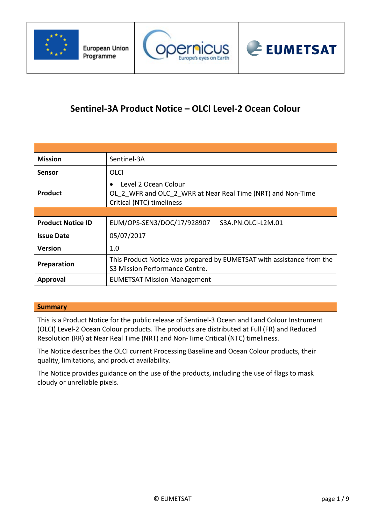





# **Sentinel-3A Product Notice – OLCI Level-2 Ocean Colour**

| <b>Mission</b>           | Sentinel-3A                                                                                                                   |  |  |  |  |  |
|--------------------------|-------------------------------------------------------------------------------------------------------------------------------|--|--|--|--|--|
| Sensor                   | OLCI                                                                                                                          |  |  |  |  |  |
| <b>Product</b>           | Level 2 Ocean Colour<br>$\bullet$<br>OL 2 WFR and OLC 2 WRR at Near Real Time (NRT) and Non-Time<br>Critical (NTC) timeliness |  |  |  |  |  |
|                          |                                                                                                                               |  |  |  |  |  |
| <b>Product Notice ID</b> | EUM/OPS-SEN3/DOC/17/928907<br>S3A.PN.OLCI-L2M.01                                                                              |  |  |  |  |  |
| <b>Issue Date</b>        | 05/07/2017                                                                                                                    |  |  |  |  |  |
| <b>Version</b>           | 1.0                                                                                                                           |  |  |  |  |  |
| Preparation              | This Product Notice was prepared by EUMETSAT with assistance from the<br>S3 Mission Performance Centre.                       |  |  |  |  |  |
| <b>Approval</b>          | <b>EUMETSAT Mission Management</b>                                                                                            |  |  |  |  |  |

# **Summary**

This is a Product Notice for the public release of Sentinel-3 Ocean and Land Colour Instrument (OLCI) Level-2 Ocean Colour products. The products are distributed at Full (FR) and Reduced Resolution (RR) at Near Real Time (NRT) and Non-Time Critical (NTC) timeliness.

The Notice describes the OLCI current Processing Baseline and Ocean Colour products, their quality, limitations, and product availability.

The Notice provides guidance on the use of the products, including the use of flags to mask cloudy or unreliable pixels.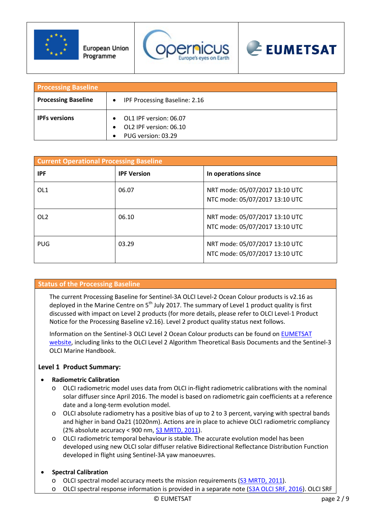





| <b>Processing Baseline</b> |                                                                        |
|----------------------------|------------------------------------------------------------------------|
| <b>Processing Baseline</b> | <b>IPF Processing Baseline: 2.16</b><br>$\bullet$                      |
| <b>IPFs versions</b>       | OL1 IPF version: 06.07<br>OL2 IPF version: 06.10<br>PUG version: 03.29 |

| <b>Current Operational Processing Baseline</b> |                    |                                                                  |  |  |  |  |  |  |
|------------------------------------------------|--------------------|------------------------------------------------------------------|--|--|--|--|--|--|
| <b>IPF</b>                                     | <b>IPF Version</b> | In operations since                                              |  |  |  |  |  |  |
| OL <sub>1</sub>                                | 06.07              | NRT mode: 05/07/2017 13:10 UTC<br>NTC mode: 05/07/2017 13:10 UTC |  |  |  |  |  |  |
| OL <sub>2</sub>                                | 06.10              | NRT mode: 05/07/2017 13:10 UTC<br>NTC mode: 05/07/2017 13:10 UTC |  |  |  |  |  |  |
| <b>PUG</b>                                     | 03.29              | NRT mode: 05/07/2017 13:10 UTC<br>NTC mode: 05/07/2017 13:10 UTC |  |  |  |  |  |  |

# **Status of the Processing Baseline**

The current Processing Baseline for Sentinel-3A OLCI Level-2 Ocean Colour products is v2.16 as deployed in the Marine Centre on  $5<sup>th</sup>$  July 2017. The summary of Level 1 product quality is first discussed with impact on Level 2 products (for more details, please refer to OLCI Level-1 Product Notice for the Processing Baseline v2.16). Level 2 product quality status next follows.

Information on the Sentinel-3 OLCI Level 2 Ocean Colour products can be found on [EUMETSAT](http://wwwc.eumetsat.int/website/home/Data/CopernicusServices/Sentinel3Services/OceanColour/index.html)  [website,](http://wwwc.eumetsat.int/website/home/Data/CopernicusServices/Sentinel3Services/OceanColour/index.html) including links to the OLCI Level 2 Algorithm Theoretical Basis Documents and the Sentinel-3 OLCI Marine Handbook.

# **Level 1 Product Summary:**

#### • **Radiometric Calibration**

- o OLCI radiometric model uses data from OLCI in-flight radiometric calibrations with the nominal solar diffuser since April 2016. The model is based on radiometric gain coefficients at a reference date and a long-term evolution model.
- o OLCI absolute radiometry has a positive bias of up to 2 to 3 percent, varying with spectral bands and higher in band Oa21 (1020nm). Actions are in place to achieve OLCI radiometric compliancy (2% absolute accuracy < 900 nm, [S3 MRTD, 2011\)](https://sentinel.esa.int/documents/247904/1848151/Sentinel-3-Mission-Requirements-Traceability).
- o OLCI radiometric temporal behaviour is stable. The accurate evolution model has been developed using new OLCI solar diffuser relative Bidirectional Reflectance Distribution Function developed in flight using Sentinel-3A yaw manoeuvres.

# • **Spectral Calibration**

- o OLCI spectral model accuracy meets the mission requirements [\(S3 MRTD, 2011\)](https://sentinel.esa.int/documents/247904/1848151/Sentinel-3-Mission-Requirements-Traceability).
- o OLCI spectral response information is provided in a separate note (S3A [OLCI SRF, 2016\)](http://www.eumetsat.int/website/wcm/idc/idcplg?IdcService=GET_FILE&dDocName=PDF_S3_OLCI_spectral_response&RevisionSelectionMethod=LatestReleased&Rendition=Web). OLCI SRF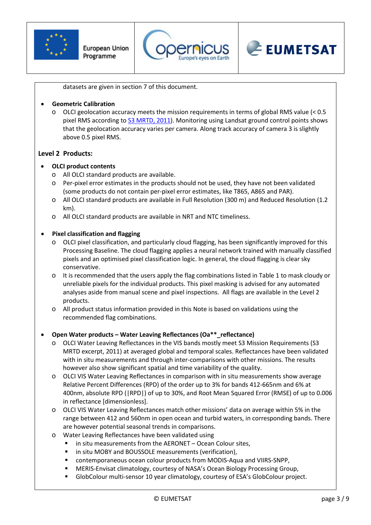





datasets are given in section 7 of this document.

# • **Geometric Calibration**

o OLCI geolocation accuracy meets the mission requirements in terms of global RMS value (< 0.5 pixel RMS according to **S3 MRTD, 2011**). Monitoring using Landsat ground control points shows that the geolocation accuracy varies per camera. Along track accuracy of camera 3 is slightly above 0.5 pixel RMS.

# **Level 2 Products:**

# • **OLCI product contents**

- o All OLCI standard products are available.
- o Per-pixel error estimates in the products should not be used, they have not been validated (some products do not contain per-pixel error estimates, like T865, A865 and PAR).
- o All OLCI standard products are available in Full Resolution (300 m) and Reduced Resolution (1.2 km).
- o All OLCI standard products are available in NRT and NTC timeliness.

# • **Pixel classification and flagging**

- o OLCI pixel classification, and particularly cloud flagging, has been significantly improved for this Processing Baseline. The cloud flagging applies a neural network trained with manually classified pixels and an optimised pixel classification logic. In general, the cloud flagging is clear sky conservative.
- o It is recommended that the users apply the flag combinations listed in Table 1 to mask cloudy or unreliable pixels for the individual products. This pixel masking is advised for any automated analyses aside from manual scene and pixel inspections. All flags are available in the Level 2 products.
- o All product status information provided in this Note is based on validations using the recommended flag combinations.

#### • **Open Water products – Water Leaving Reflectances (Oa\*\*\_reflectance)**

- o OLCI Water Leaving Reflectances in the VIS bands mostly meet S3 Mission Requirements (S3 MRTD excerpt, 2011) at averaged global and temporal scales. Reflectances have been validated with in situ measurements and through inter-comparisons with other missions. The results however also show significant spatial and time variability of the quality.
- o OLCI VIS Water Leaving Reflectances in comparison with in situ measurements show average Relative Percent Differences (RPD) of the order up to 3% for bands 412-665nm and 6% at 400nm, absolute RPD (|RPD|) of up to 30%, and Root Mean Squared Error (RMSE) of up to 0.006 in reflectance [dimensionless].
- o OLCI VIS Water Leaving Reflectances match other missions' data on average within 5% in the range between 412 and 560nm in open ocean and turbid waters, in corresponding bands. There are however potential seasonal trends in comparisons.
- o Water Leaving Reflectances have been validated using
	- in situ measurements from the AERONET Ocean Colour sites,
	- in situ MOBY and BOUSSOLE measurements (verification),
	- contemporaneous ocean colour products from MODIS-Aqua and VIIRS-SNPP,
	- MERIS-Envisat climatology, courtesy of NASA's Ocean Biology Processing Group,
	- GlobColour multi-sensor 10 year climatology, courtesy of ESA's GlobColour project.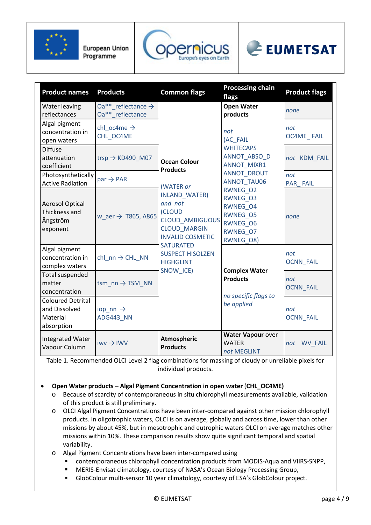



# EUMETSAT

| <b>Product names</b>                                                | <b>Products</b>                                    | <b>Common flags</b>                                                                                            | <b>Processing chain</b><br>flags                                                                | <b>Product flags</b>    |
|---------------------------------------------------------------------|----------------------------------------------------|----------------------------------------------------------------------------------------------------------------|-------------------------------------------------------------------------------------------------|-------------------------|
| <b>Water leaving</b><br>reflectances                                | Oa** reflectance $\rightarrow$<br>Oa** reflectance |                                                                                                                | <b>Open Water</b><br>products                                                                   | none                    |
| Algal pigment<br>concentration in<br>open waters                    | chl oc4me $\rightarrow$<br>CHL OC4ME               |                                                                                                                | not<br>(AC FAIL                                                                                 | not<br>OC4ME FAIL       |
| <b>Diffuse</b><br>attenuation<br>coefficient                        | trsp $\rightarrow$ KD490_M07                       | <b>Ocean Colour</b><br><b>Products</b>                                                                         | <b>WHITECAPS</b><br>ANNOT_ABSO_D<br><b>ANNOT MIXR1</b>                                          | not KDM_FAIL            |
| Photosynthetically<br><b>Active Radiation</b>                       | $par \rightarrow PAR$                              | (WATER or                                                                                                      | <b>ANNOT DROUT</b><br><b>ANNOT TAU06</b>                                                        | not<br>PAR FAIL         |
| <b>Aerosol Optical</b><br>Thickness and<br>Ångström<br>exponent     | w_aer $\rightarrow$ T865, A865                     | INLAND_WATER)<br>and not<br>(CLOUD<br><b>CLOUD AMBIGUOUS</b><br><b>CLOUD MARGIN</b><br><b>INVALID COSMETIC</b> | <b>RWNEG O2</b><br>RWNEG 03<br>RWNEG 04<br><b>RWNEG O5</b><br>RWNEG O6<br>RWNEG O7<br>RWNEG_08) | none                    |
| Algal pigment<br>concentration in<br>complex waters                 | chl nn $\rightarrow$ CHL NN                        | <b>SATURATED</b><br><b>SUSPECT HISOLZEN</b><br><b>HIGHGLINT</b>                                                |                                                                                                 | not<br>OCNN_FAIL        |
| <b>Total suspended</b><br>matter<br>concentration                   | $t$ sm_nn $\rightarrow$ TSM_NN                     | SNOW_ICE)                                                                                                      | <b>Complex Water</b><br><b>Products</b><br>no specific flags to                                 | not<br><b>OCNN_FAIL</b> |
| <b>Coloured Detrital</b><br>and Dissolved<br>Material<br>absorption | iop nn $\rightarrow$<br>ADG443 NN                  |                                                                                                                | be applied                                                                                      | not<br><b>OCNN_FAIL</b> |
| <b>Integrated Water</b><br>Vapour Column                            | $iww \rightarrow IWW$                              | <b>Atmospheric</b><br><b>Products</b>                                                                          | Water Vapour over<br><b>WATER</b><br>not MEGLINT                                                | <b>WV_FAIL</b><br>not   |

Table 1. Recommended OLCI Level 2 flag combinations for masking of cloudy or unreliable pixels for individual products.

• **Open Water products – Algal Pigment Concentration in open water** (**CHL\_OC4ME)**

- o Because of scarcity of contemporaneous in situ chlorophyll measurements available, validation of this product is still preliminary.
- o OLCI Algal Pigment Concentrations have been inter-compared against other mission chlorophyll products. In oligotrophic waters, OLCI is on average, globally and across time, lower than other missions by about 45%, but in mesotrophic and eutrophic waters OLCI on average matches other missions within 10%. These comparison results show quite significant temporal and spatial variability.
- o Algal Pigment Concentrations have been inter-compared using
	- contemporaneous chlorophyll concentration products from MODIS-Aqua and VIIRS-SNPP,
	- MERIS-Envisat climatology, courtesy of NASA's Ocean Biology Processing Group,
	- GlobColour multi-sensor 10 year climatology, courtesy of ESA's GlobColour project.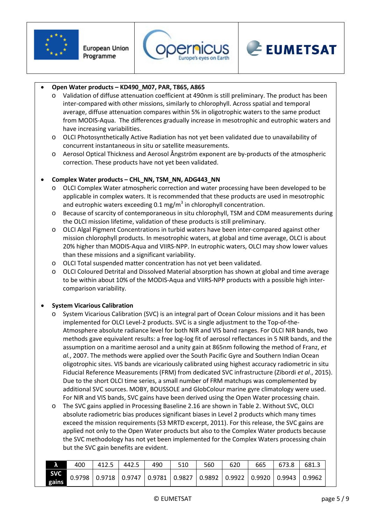





# • **Open Water products – KD490\_M07, PAR, T865, A865**

- Validation of diffuse attenuation coefficient at 490nm is still preliminary. The product has been inter-compared with other missions, similarly to chlorophyll. Across spatial and temporal average, diffuse attenuation compares within 5% in oligotrophic waters to the same product from MODIS-Aqua. The differences gradually increase in mesotrophic and eutrophic waters and have increasing variabilities.
- o OLCI Photosynthetically Active Radiation has not yet been validated due to unavailability of concurrent instantaneous in situ or satellite measurements.
- o Aerosol Optical Thickness and Aerosol Ångström exponent are by-products of the atmospheric correction. These products have not yet been validated.

# • **Complex Water products – CHL\_NN, TSM\_NN, ADG443\_NN**

- o OLCI Complex Water atmospheric correction and water processing have been developed to be applicable in complex waters. It is recommended that these products are used in mesotrophic and eutrophic waters exceeding  $0.1 \text{ mg/m}^3$  in chlorophyll concentration.
- o Because of scarcity of contemporaneous in situ chlorophyll, TSM and CDM measurements during the OLCI mission lifetime, validation of these products is still preliminary.
- o OLCI Algal Pigment Concentrations in turbid waters have been inter-compared against other mission chlorophyll products. In mesotrophic waters, at global and time average, OLCI is about 20% higher than MODIS-Aqua and VIIRS-NPP. In eutrophic waters, OLCI may show lower values than these missions and a significant variability.
- o OLCI Total suspended matter concentration has not yet been validated.
- o OLCI Coloured Detrital and Dissolved Material absorption has shown at global and time average to be within about 10% of the MODIS-Aqua and VIIRS-NPP products with a possible high intercomparison variability.

#### • **System Vicarious Calibration**

- System Vicarious Calibration (SVC) is an integral part of Ocean Colour missions and it has been implemented for OLCI Level-2 products. SVC is a single adjustment to the Top-of-the-Atmosphere absolute radiance level for both NIR and VIS band ranges. For OLCI NIR bands, two methods gave equivalent results: a free log-log fit of aerosol reflectances in 5 NIR bands, and the assumption on a maritime aerosol and a unity gain at 865nm following the method of Franz, *et al.*, 2007. The methods were applied over the South Pacific Gyre and Southern Indian Ocean oligotrophic sites. VIS bands are vicariously calibrated using highest accuracy radiometric in situ Fiducial Reference Measurements (FRM) from dedicated SVC infrastructure (Zibordi *et al*., 2015). Due to the short OLCI time series, a small number of FRM matchups was complemented by additional SVC sources. MOBY, BOUSSOLE and GlobColour marine gyre climatology were used. For NIR and VIS bands, SVC gains have been derived using the Open Water processing chain.
- o The SVC gains applied in Processing Baseline 2.16 are shown in Table 2. Without SVC, OLCI absolute radiometric bias produces significant biases in Level 2 products which many times exceed the mission requirements (S3 MRTD excerpt, 2011). For this release, the SVC gains are applied not only to the Open Water products but also to the Complex Water products because the SVC methodology has not yet been implemented for the Complex Waters processing chain but the SVC gain benefits are evident.

| ۸                                 | 400 | 412.5 | 442.5 | 490                                                                                       | 510 | 560 | 620 | 665 | 673.8 | 681.3 |
|-----------------------------------|-----|-------|-------|-------------------------------------------------------------------------------------------|-----|-----|-----|-----|-------|-------|
| <b>SVC</b><br>$\frac{1}{1}$ gains |     |       |       | $0.9798$   0.9718   0.9747   0.9781   0.9827   0.9892   0.9922   0.9920   0.9943   0.9962 |     |     |     |     |       |       |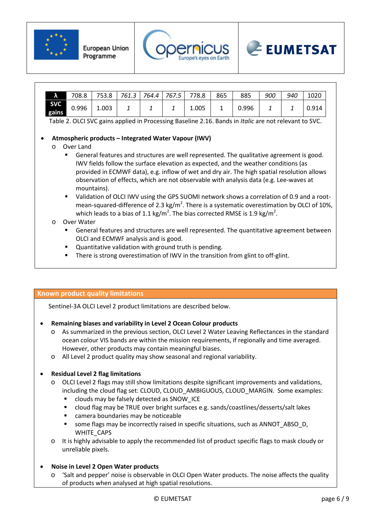





| A                   | 708.8 | 753.8 | 761.3 | 764.4 | 767.5 | 778.8 | 865 | 885   | 900 | 940 | 1020  |
|---------------------|-------|-------|-------|-------|-------|-------|-----|-------|-----|-----|-------|
| <b>SVC</b><br>gains | 0.996 | 1.003 | -     |       |       | 1.005 |     | 0.996 |     |     | 0.914 |

Table 2. OLCI SVC gains applied in Processing Baseline 2.16. Bands in *Italic* are not relevant to SVC.

# • **Atmospheric products – Integrated Water Vapour (IWV)**

- o Over Land
	- General features and structures are well represented. The qualitative agreement is good. IWV fields follow the surface elevation as expected, and the weather conditions (as provided in ECMWF data), e.g. inflow of wet and dry air. The high spatial resolution allows observation of effects, which are not observable with analysis data (e.g. Lee-waves at mountains).
	- Validation of OLCI IWV using the GPS SUOMI network shows a correlation of 0.9 and a rootmean-squared-difference of 2.3 kg/m<sup>2</sup>. There is a systematic overestimation by OLCI of 10%, which leads to a bias of 1.1 kg/m<sup>2</sup>. The bias corrected RMSE is 1.9 kg/m<sup>2</sup>.
- o Over Water
	- General features and structures are well represented. The quantitative agreement between OLCI and ECMWF analysis and is good.
	- Quantitative validation with ground truth is pending.
	- **There is strong overestimation of IWV in the transition from glint to off-glint.**

#### **Known product quality limitations**

Sentinel-3A OLCI Level 2 product limitations are described below.

- **Remaining biases and variability in Level 2 Ocean Colour products**
	- o As summarized in the previous section, OLCI Level 2 Water Leaving Reflectances in the standard ocean colour VIS bands are within the mission requirements, if regionally and time averaged. However, other products may contain meaningful biases.
	- o All Level 2 product quality may show seasonal and regional variability.

#### • **Residual Level 2 flag limitations**

- o OLCI Level 2 flags may still show limitations despite significant improvements and validations, including the cloud flag set: CLOUD, CLOUD\_AMBIGUOUS, CLOUD\_MARGIN. Some examples:
	- clouds may be falsely detected as SNOW\_ICE
	- cloud flag may be TRUE over bright surfaces e.g. sands/coastlines/desserts/salt lakes
	- camera boundaries may be noticeable
	- **some flags may be incorrectly raised in specific situations, such as ANNOT ABSO D,** WHITE\_CAPS
- o It is highly advisable to apply the recommended list of product specific flags to mask cloudy or unreliable pixels.
- **Noise in Level 2 Open Water products**
	- 'Salt and pepper' noise is observable in OLCI Open Water products. The noise affects the quality of products when analysed at high spatial resolutions.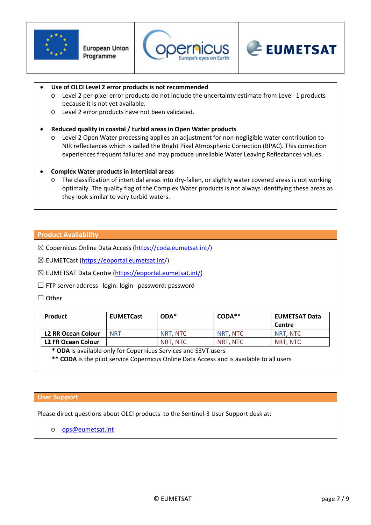





#### • **Use of OLCI Level 2 error products is not recommended**

- o Level 2 per-pixel error products do not include the uncertainty estimate from Level 1 products because it is not yet available.
- o Level 2 error products have not been validated.

#### • **Reduced quality in coastal / turbid areas in Open Water products**

Level 2 Open Water processing applies an adjustment for non-negligible water contribution to NIR reflectances which is called the Bright Pixel Atmospheric Correction (BPAC). This correction experiences frequent failures and may produce unreliable Water Leaving Reflectances values.

#### • **Complex Water products in intertidal areas**

o The classification of intertidal areas into dry-fallen, or slightly water covered areas is not working optimally. The quality flag of the Complex Water products is not always identifying these areas as they look similar to very turbid waters.

#### **Product Availability**

⊠ Copernicus Online Data Access [\(https://coda.eumetsat.int/\)](https://coda.eumetsat.int/)

☒ EUMETCast [\(https://eoportal.eumetsat.int/](https://eoportal.eumetsat.int/))

☒ EUMETSAT Data Centre [\(https://eoportal.eumetsat.int/\)](https://eoportal.eumetsat.int/)

☐ FTP server address login: login password: password

☐ Other

| Product            | <b>EUMETCast</b> | $ODA^*$  | $CODA***$ | <b>EUMETSAT Data</b> |
|--------------------|------------------|----------|-----------|----------------------|
|                    |                  |          |           | Centre               |
| L2 RR Ocean Colour | <b>NRT</b>       | NRT NTC  | NRT. NTC  | NRT NTC              |
| L2 FR Ocean Colour |                  | NRT. NTC | NRT. NTC  | NRT. NTC             |

**\* ODA** is available only for Copernicus Services and S3VT users

**\*\* CODA** is the pilot service Copernicus Online Data Access and is available to all users

#### **User Support**

Please direct questions about OLCI products to the Sentinel-3 User Support desk at:

o **[ops@eumetsat.int](mailto:ops@eumetsat.int)**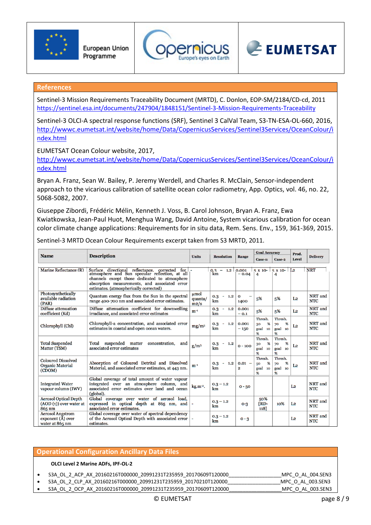



# **References**

Sentinel-3 Mission Requirements Traceability Document (MRTD), C. Donlon, EOP-SM/2184/CD-cd, 2011 <https://sentinel.esa.int/documents/247904/1848151/Sentinel-3-Mission-Requirements-Traceability>

Sentinel-3 OLCI-A spectral response functions (SRF), Sentinel 3 CalVal Team, S3-TN-ESA-OL-660, 2016, [http://wwwc.eumetsat.int/website/home/Data/CopernicusServices/Sentinel3Services/OceanColour/i](http://wwwc.eumetsat.int/website/home/Data/CopernicusServices/Sentinel3Services/OceanColour/index.html) [ndex.html](http://wwwc.eumetsat.int/website/home/Data/CopernicusServices/Sentinel3Services/OceanColour/index.html)

EUMETSAT Ocean Colour website, 2017,

[http://wwwc.eumetsat.int/website/home/Data/CopernicusServices/Sentinel3Services/OceanColour/i](http://wwwc.eumetsat.int/website/home/Data/CopernicusServices/Sentinel3Services/OceanColour/index.html) [ndex.html](http://wwwc.eumetsat.int/website/home/Data/CopernicusServices/Sentinel3Services/OceanColour/index.html)

Bryan A. Franz, Sean W. Bailey, P. Jeremy Werdell, and Charles R. McClain, Sensor-independent approach to the vicarious calibration of satellite ocean color radiometry, App. Optics, vol. 46, no. 22, 5068-5082, 2007.

Giuseppe Zibordi, Frédéric Mélin, Kenneth J. Voss, B. Carol Johnson, Bryan A. Franz, Ewa Kwiatkowska, Jean-Paul Huot, Menghua Wang, David Antoine, System vicarious calibration for ocean color climate change applications: Requirements for in situ data, Rem. Sens. Env., 159, 361-369, 2015.

|                                                                       |                                                                                                                                                                                                                                                         | <b>Resolution</b><br><b>Units</b> |                     |                                     | <b>Goal Accuracy</b>                  |                                          | Prod.          |                       |
|-----------------------------------------------------------------------|---------------------------------------------------------------------------------------------------------------------------------------------------------------------------------------------------------------------------------------------------------|-----------------------------------|---------------------|-------------------------------------|---------------------------------------|------------------------------------------|----------------|-----------------------|
| <b>Name</b>                                                           | <b>Description</b>                                                                                                                                                                                                                                      |                                   |                     | Range                               | Case-1:                               | Case-2                                   | Level          | <b>Delivery</b>       |
| Marine Reflectance (R)                                                | Surface directional reflectance, corrected<br>for $\vert$<br>atmosphere and Sun specular reflection, at all<br>channels except those dedicated to atmosphere<br>absorption measurements, and associated error<br>estimates. (atmospherically corrected) |                                   | $0.3 - 1.2$<br>km   | 0.001<br>$-0.04$                    | $5 \times 10$<br>4                    | $5 \times 10$ - L <sub>2</sub><br>4      |                | <b>NRT</b>            |
| Photosynthetically<br>available radiation<br>(PAR)                    | Quantum energy flux from the Sun in the spectral<br>range 400-700 nm and associated error estimates.                                                                                                                                                    | µmol<br>quanta/<br>m2/s           | $0.3 - 1.2$<br>km   | $\mathbf{o}$<br>1400                | 5%                                    | 5%                                       | L <sub>2</sub> | NRT and<br><b>NTC</b> |
| Diffuse attenuation<br>coefficient (Kd)                               | Diffuse attenuation coefficient for downwelling<br>irradiance, and associated error estimates                                                                                                                                                           | $m^{-1}$                          | $0.3 - 1.2$<br>km   | 0.001<br>$-0.1$                     | 5%                                    | 5%                                       | L <sub>2</sub> | NRT and<br><b>NTC</b> |
| Chlorophyll (Chl)                                                     | Chlorophyll-a concentration, and associated error<br>estimates in coastal and open ocean waters.                                                                                                                                                        | mg/m <sup>3</sup>                 | 0.3<br>$-1.2$<br>km | 0.001<br>$-150$                     | Thresh.<br>%<br>30<br>goal 10<br>%    | Thresh.<br>%<br>70<br>goal<br>10<br>℁    | L <sub>2</sub> | NRT and<br><b>NTC</b> |
| <b>Total Suspended</b><br>Matter (TSM)                                | suspended matter<br>concentration,<br>Total<br>and<br>associated error estimates                                                                                                                                                                        | $g/m^3$                           | $0.3 - 1.2$<br>km   | $0 - 100$                           | Thresh.<br>%<br>30<br>10<br>goal<br>% | Thresh.<br>%<br>70<br>goal<br>10<br>%    | L <sub>2</sub> | NRT and<br><b>NTC</b> |
| <b>Coloured Dissolved</b><br><b>Organic Material</b><br>(CDOM)        | Absorption of Coloured Detrital and Dissolved<br>Material, and associated error estimates, at 443 nm.                                                                                                                                                   | $m^{-1}$                          | $0.3 - 1.2$<br>km   | $0.01 -$<br>$\overline{\mathbf{2}}$ | Thresh.<br>%<br>50<br>goal 10<br>%    | Thresh.<br>%<br>70<br>goal<br>10<br>$\%$ | L <sub>2</sub> | NRT and<br><b>NTC</b> |
| <b>Integrated Water</b><br>vapour column (IWV)                        | Global coverage of total amount of water vapour<br>integrated over an atmosphere column, and<br>associated error estimates over land and ocean<br>(global).                                                                                             | $kg.m^{-2}$ .                     | $0.3 - 1.2$<br>km   | $0 - 50$                            |                                       |                                          | L <sub>2</sub> | NRT and<br><b>NTC</b> |
| <b>Aerosol Optical Depth</b><br>$(AOD(\tau))$ over water at<br>865 nm | Global coverage over water of aerosol load,<br>expressed in optical depth at 865 nm, and<br>associated error estimates.                                                                                                                                 |                                   | $0.3 - 1.2$<br>km   | $O-3$                               | 50%<br>$RD-$<br>118]                  | 10%                                      | L <sub>2</sub> | NRT and<br><b>NTC</b> |
| <b>Aerosol Angstrom</b><br>exponent $(A)$ over<br>water at 865 nm     | Global coverage over water of spectral dependency<br>of the Aerosol Optical Depth with associated error<br>estimates.                                                                                                                                   |                                   | $0.3 - 1.2$<br>km   | $0 - 3$                             |                                       |                                          | L <sub>2</sub> | NRT and<br><b>NTC</b> |

Sentinel-3 MRTD Ocean Colour Requirements excerpt taken from S3 MRTD, 2011.

# **Operational Configuration Ancillary Data Files**

#### **OLCI Level 2 Marine ADFs, IPF-OL-2**

- S3A\_OL\_2\_ACP\_AX\_20160216T000000\_20991231T235959\_20170609T120000\_\_\_\_\_\_\_\_\_\_\_\_\_\_\_\_\_\_\_MPC\_O\_AL\_004.SEN3
- S3A\_OL\_2\_CLP\_AX\_20160216T000000\_20991231T235959\_20170210T120000\_\_\_\_\_\_\_\_\_\_\_\_\_\_\_\_\_\_\_MPC\_O\_AL\_003.SEN3 • S3A\_OL\_2\_OCP\_AX\_20160216T000000\_20991231T235959\_20170609T120000\_\_\_\_\_\_\_\_\_\_\_\_\_\_\_\_\_\_\_MPC\_O\_AL\_003.SEN3
	-